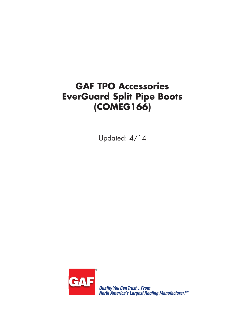## **GAF TPO Accessories EverGuard Split Pipe Boots (COMEG166)**

Updated: 4/14



**Quality You Can Trust...From<br>North America's Largest Roofing Manufacturer!™**